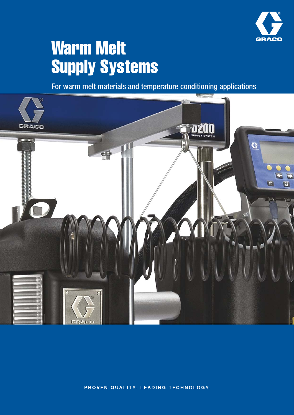

# Warm Melt Supply Systems

For warm melt materials and temperature conditioning applications



PROVEN QUALITY. LEADING TECHNOLOGY.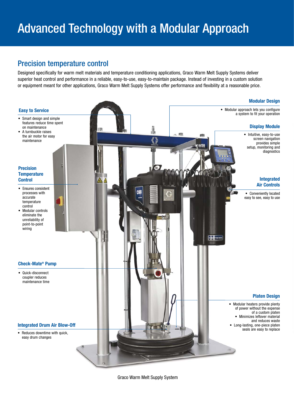# Advanced Technology with a Modular Approach

# Precision temperature control

Designed specifically for warm melt materials and temperature conditioning applications, Graco Warm Melt Supply Systems deliver superior heat control and performance in a reliable, easy-to-use, easy-to-maintain package. Instead of investing in a custom solution or equipment meant for other applications, Graco Warm Melt Supply Systems offer performance and flexibility at a reasonable price.



Graco Warm Melt Supply System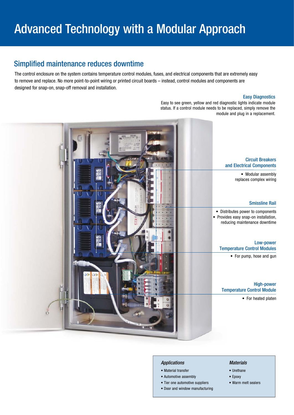# Simplified maintenance reduces downtime

The control enclosure on the system contains temperature control modules, fuses, and electrical components that are extremely easy to remove and replace. No more point-to-point wiring or printed circuit boards – instead, control modules and components are designed for snap-on, snap-off removal and installation.

#### Easy Diagnostics

Easy to see green, yellow and red diagnostic lights indicate module status. If a control module needs to be replaced, simply remove the module and plug in a replacement.



#### Applications

- Material transfer
- Automotive assembly
- Tier one automotive suppliers
- Door and window manufacturing

#### **Materials**

- Urethane
- Epoxy
- Warm melt sealers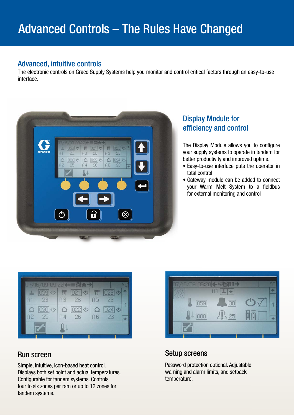# Advanced, intuitive controls

The electronic controls on Graco Supply Systems help you monitor and control critical factors through an easy-to-use interface.



# Display Module for efficiency and control

The Display Module allows you to configure your supply systems to operate in tandem for better productivity and improved uptime.

- Easy-to-use interface puts the operator in total control
- Gateway module can be added to connect your Warm Melt System to a fieldbus for external monitoring and control



Simple, intuitive, icon-based heat control. Displays both set point and actual temperatures. Configurable for tandem systems. Controls four to six zones per ram or up to 12 zones for tandem systems.



# Run screen Setup screens

Password protection optional. Adjustable warning and alarm limits, and setback temperature.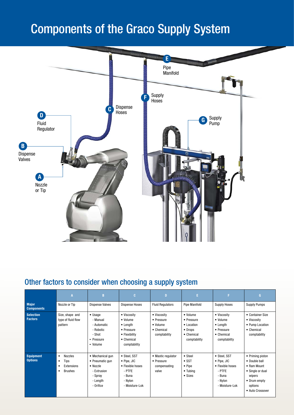# Components of the Graco Supply System



# Other factors to consider when choosing a supply system

|                                    | А                                                                                   | B                                                                                                  | C.                                                                                                       | D                                                                   | E.                                                                                            | F.                                                                                                       | G                                                                                                                                     |
|------------------------------------|-------------------------------------------------------------------------------------|----------------------------------------------------------------------------------------------------|----------------------------------------------------------------------------------------------------------|---------------------------------------------------------------------|-----------------------------------------------------------------------------------------------|----------------------------------------------------------------------------------------------------------|---------------------------------------------------------------------------------------------------------------------------------------|
| <b>Major</b><br><b>Components</b>  | Nozzle or Tip                                                                       | <b>Dispense Valves</b>                                                                             | <b>Dispense Hoses</b>                                                                                    | <b>Fluid Regulators</b>                                             | <b>Pipe Manifold</b>                                                                          | <b>Supply Hoses</b>                                                                                      | <b>Supply Pumps</b>                                                                                                                   |
| <b>Selection</b><br><b>Factors</b> | Size, shape and<br>type of fluid flow<br>pattern                                    | $\bullet$ Usage<br>- Manual<br>- Automatic<br>- Robotic<br>- Shot<br>• Pressure<br>• Volume        | • Viscosity<br>• Volume<br>$\bullet$ Length<br>• Pressure<br>• Flexibility<br>• Chemical<br>comptability | • Viscosity<br>• Pressure<br>• Volume<br>• Chemical<br>comptability | • Volume<br>• Pressure<br>$\bullet$ Location<br>• Drops<br>$\bullet$ Chemical<br>comptability | • Viscosity<br>• Volume<br>$\bullet$ Length<br>• Pressure<br>$\bullet$ Chemical<br>comptability          | • Container Size<br>• Viscosity<br>• Pump Location<br>• Chemical<br>comptability                                                      |
| <b>Equipment</b><br><b>Options</b> | <b>Nozzles</b><br>$\bullet$<br>Tips<br>٠<br>Extensions<br>٠<br>Brushes<br>$\bullet$ | • Mechanical gun<br>• Pneumatic gun<br>• Nozzle<br>- Extrusion<br>- Spray<br>- Length<br>- Orifice | • Steel, SST<br>$\bullet$ Pipe, JIC<br>• Flexible hoses<br>- PTFE<br>- Buna<br>- Nylon<br>- Moisture-Lok | • Mastic regulator<br>• Pressure<br>compensating<br>valve           | • Steel<br>$\bullet$ SST<br>$\bullet$ Pipe<br>$\bullet$ Tubing<br>• Sizes                     | • Steel, SST<br>$\bullet$ Pipe, JIC<br>• Flexible hoses<br>- PTFE<br>- Buna<br>- Nylon<br>- Moisture-Lok | • Priming piston<br>• Double ball<br>$\bullet$ Ram Mount<br>• Single or dual<br>wipers<br>• Drum empty<br>options<br>• Auto Crossover |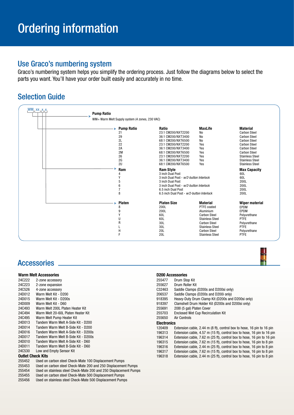# Use Graco's numbering system

Graco's numbering system helps you simplify the ordering process. Just follow the diagrams below to select the parts you want. You'll have your order built easily and accurately in no time.

# Selection Guide

| <b>Pump Ratio</b>                              |                                           |                        |                        |
|------------------------------------------------|-------------------------------------------|------------------------|------------------------|
| WM= Warm Melt Supply system (4 zones, 230 VAC) |                                           |                        |                        |
| <b>Pump Ratio</b>                              | Ratio                                     | <b>MaxLife</b>         | <b>Material</b>        |
| 21                                             | 23:1 CM200/NXT2200                        | <b>No</b>              | <b>Carbon Steel</b>    |
| 29                                             | 36:1 CM200/NXT3400                        | <b>No</b>              | <b>Carbon Steel</b>    |
| 2L                                             | 68:1 CM200/NXT6500                        | No                     | <b>Carbon Steel</b>    |
| 22                                             | 23:1 CM200/NXT2200                        | Yes                    | <b>Carbon Steel</b>    |
| 2A                                             | 36:1 CM200/NXT3400                        | Yes                    | <b>Carbon Steel</b>    |
| 2M                                             | 68:1 CM200/NXT6500                        | Yes                    | <b>Carbon Steel</b>    |
| 26                                             | 23:1 CM200/NXT2200                        | Yes                    | <b>Stainless Steel</b> |
| 2G                                             | 36:1 CM200/NXT3400                        | Yes                    | <b>Stainless Steel</b> |
| 2U                                             | 68:1 CM200/NXT6500                        | Yes                    | <b>Stainless Steel</b> |
| Ram                                            | <b>Ram Style</b>                          |                        | <b>Max Capacity</b>    |
|                                                | 3 inch Dual Post                          |                        | 60L                    |
|                                                | 3 inch Dual Post - w/2-button Interlock   |                        | 60L                    |
| 5                                              | 3 inch Dual Post                          |                        | 200L                   |
| 6                                              | 3 inch Dual Post - w/2-button Interlock   |                        | 200L                   |
|                                                | 6.5 inch Dual Post                        |                        | 200L                   |
| 8                                              | 6.5 inch Dual Post - w/2-button Interlock |                        | 200L                   |
| Platen                                         | <b>Platen Size</b>                        | <b>Material</b>        | <b>Wiper material</b>  |
| 8                                              | 200L                                      | PTFE coated            | <b>EPDM</b>            |
| 9                                              | 200L                                      | Aluminium              | <b>EPDM</b>            |
|                                                | 60L                                       | <b>Carbon Steel</b>    | Polyurethane           |
|                                                | 60L                                       | <b>Stainless Steel</b> | <b>PTFE</b>            |
| R                                              | 30L                                       | <b>Carbon Steel</b>    | Polyurethane           |
|                                                | 30L                                       | <b>Stainless Steel</b> | PTFE                   |
|                                                |                                           |                        |                        |

## **Accessories**

#### **Warm Melt Accessories**

| 24C222                   | 2-zone accessory                       |  |  |  |
|--------------------------|----------------------------------------|--|--|--|
| 24C223                   | 2-zone expansion                       |  |  |  |
| 24C526                   | 4-zone accessory                       |  |  |  |
| 24D012                   | Warm Melt Kit - D200                   |  |  |  |
| 24D015                   | Warm Melt Kit - D200s                  |  |  |  |
| 24D009                   | Warm Melt Kit - D60                    |  |  |  |
| 24C493                   | Warm Melt 200L Platen Heater Kit       |  |  |  |
| 24C494                   | Warm Melt 20-60L Platen Heater Kit     |  |  |  |
| 24C495                   | Warm Melt Pump Heater Kit              |  |  |  |
| 24D013                   | Tandem Warm Melt A-Side Kit - D200     |  |  |  |
| 24D014                   | Tandem Warm Melt B-Side Kit - D200     |  |  |  |
| 24D016                   | Tandem Warm Melt A-Side Kit - D200s    |  |  |  |
| 24D017                   | Tandem Warm Melt B-Side Kit - D200s    |  |  |  |
| 24D010                   | Tandem Warm Melt A-Side Kit - D60      |  |  |  |
| 24D011                   | Tandem Warm Melt B-Side Kit - D60      |  |  |  |
| 24C530                   | Low and Empty Sensor Kit               |  |  |  |
| <b>Outlet Check Kits</b> |                                        |  |  |  |
| 255452                   | Llsed on carbon steel Check-Mate 100 [ |  |  |  |

- 255452 Used on carbon steel Check-Mate 100 Displacement Pumps Used on carbon steel Check-Mate 200 and 250 Displacement Pumps
- 255454 Used on stainless steel Check-Mate 200 and 250 Displacement Pumps
- 255455 Used on carbon steel Check-Mate 500 Displacement Pumps
- 255456 Used on stainless steel Check-Mate 500 Displacement Pumps

| <b>D200 Accessories</b> |                                                                        |
|-------------------------|------------------------------------------------------------------------|
| 255477                  | Drum Stop Kit                                                          |
| 255627                  | Drum Roller Kit                                                        |
| C32463                  | Saddle Clamps (D200s and D200si only)                                  |
| 206537                  | Saddle Clamps (D200s and D200i only)                                   |
| 918395                  | Heavy-Duty Drum Clamp Kit (D200s and D200si only)                      |
| 918397                  | Clamshell Drum Holder Kit (D200s and D200si only)                      |
| 255691                  | 2081 (5 gal) Platen Cover                                              |
| 255703                  | <b>Enclosed Wet Cup Recirculation Kit</b>                              |
| 255650                  | Air Controls                                                           |
| <b>Electronics</b>      |                                                                        |
| 120409                  | Extension cable, 2.44 m (8 ft), control box to hose, 16 pin to 16 pin  |
| 196313                  | Extension cable, 4.57 m (15 ft), control box to hose, 16 pin to 16 pin |
| 196314                  | Extension cable, 7.62 m (25 ft), control box to hose, 16 pin to 16 pin |
| 196315                  | Extension cable, 7.62 m (15 ft), control box to hose, 16 pin to 8 pin  |
| 196316                  | Extension cable, 2.44 m (25 ft), control box to hose, 16 pin to 8 pin  |
| 196317                  | Extension cable, 7.62 m (15 ft), control box to hose, 16 pin to 8 pin  |
| 196318                  | Extension cable, 2.44 m (25 ft), control box to hose, 16 pin to 8 pin  |
|                         |                                                                        |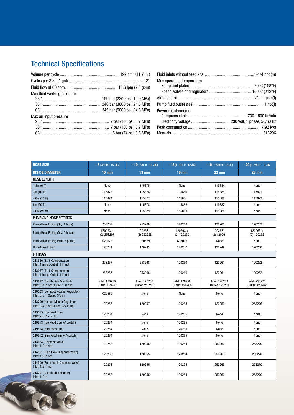# Technical Specifications

| Max fluid working pressure |  |
|----------------------------|--|
|                            |  |
|                            |  |
|                            |  |
| Max air input pressure     |  |
|                            |  |
|                            |  |
|                            |  |
|                            |  |

| Max operating temperature |  |
|---------------------------|--|
|                           |  |
|                           |  |
|                           |  |
|                           |  |
| Power requirements        |  |
|                           |  |
|                           |  |
|                           |  |
|                           |  |

| <b>HOSE SIZE</b>                                                         | $-8$ (3/4 in -16 JIC)           | $-10$ (7/8 in -14 JIC)          | $-12$ (1-1/16 in -12 JIC)       | $-16$ (1-5/16 in -12 JIC)       | $-20$ (1-5/8 in -12 JIC)        |  |
|--------------------------------------------------------------------------|---------------------------------|---------------------------------|---------------------------------|---------------------------------|---------------------------------|--|
| <b>INSIDE DIAMETER</b>                                                   | $10 \text{ mm}$                 | $13 \text{ mm}$                 | <b>16 mm</b>                    | <b>22 mm</b>                    | <b>28 mm</b>                    |  |
| <b>HOSE LENGTH</b>                                                       |                                 |                                 |                                 |                                 |                                 |  |
| 1.8m(6 ft)                                                               | None                            | 115875                          | None                            | 115884                          | None                            |  |
| 3m (10 ft)                                                               | 115873                          | 115876                          | 115880                          | 115885                          | 117821                          |  |
| 4.6m(15 ft)                                                              | 115874                          | 115877                          | 115881                          | 115886                          | 117822                          |  |
| 6m (20 ft)                                                               | None                            | 115878                          | 115882                          | 115887                          | None                            |  |
| 7.6m(25 ft)                                                              | None                            | 115879                          | 115883                          | 115888                          | None                            |  |
| PUMP AND HOSE FITTINGS                                                   |                                 |                                 |                                 |                                 |                                 |  |
| Pump/Hose Fitting (Qty: 1 hose)                                          | 253267                          | 253268                          | 120260                          | 120261                          | 120262                          |  |
| Pump/Hose Fitting (Qty: 2 hoses)                                         | $120263 +$<br>(2) 253267        | $120263 +$<br>$(2)$ 253268      | $120263 +$<br>(2) 120260        | $120263 +$<br>$(2)$ 120261      | $120263 +$<br>(2) 120262        |  |
| Pump/Hose Fitting (Mini-5 pump)                                          | C20678                          | C20679                          | C38006                          | None                            | None                            |  |
| <b>Hose/Hose Fitting</b>                                                 | 120241                          | 120243                          | 120247                          | 120249                          | 120250                          |  |
| <b>FITTINGS</b>                                                          |                                 |                                 |                                 |                                 |                                 |  |
| 243656 (23:1 Compensator)<br>Inlet: 1 in npt Outlet: 1 in npt            | 253267                          | 253268                          | 120260                          | 120261                          | 120262                          |  |
| 243657 (51:1 Compensator)<br>Inlet: 1 in npt Outlet: 1 in npt            | 253267                          | 253268                          | 120260                          | 120261                          | 120262                          |  |
| 243697 (Distribution Manifold)<br>Inlet: 3/4 in npt Outlet: 1 in npt     | Inlet: 120256<br>Outlet: 253267 | Inlet: 120257<br>Outlet: 253268 | Inlet: 120258<br>Outlet: 120260 | Inlet: 120259<br>Outlet: 120261 | Inlet: 253276<br>Outlet: 120262 |  |
| 289208 (Compact Heated Regulator)<br>Inlet: 3/8 in Outlet: 3/8 in        | C20585                          | None                            | None                            | None                            | None                            |  |
| 243700 (Heated Mastic Regulator)<br>Inlet: 3/4 in npt Outlet: 3/4 in npt | 120256                          | 120257                          | 120258                          | 120259                          | 253276                          |  |
| 249515 (Top Feed Gun)<br>Inlet: 7/8 in -14 JIC                           | 120264                          | None                            | 120265                          | None                            | None                            |  |
| 249513 (Top Feed Gun w/ switch)                                          | 120264                          | None                            | 120265                          | None                            | None                            |  |
| 249514 (Btm Feed Gun)                                                    | 120264                          | None                            | 120265                          | None                            | None                            |  |
| 249512 (Btm Feed Gun w/ switch)                                          | 120264                          | None                            | 120265                          | None                            | None                            |  |
| 243694 (Dispense Valve)<br>Inlet: 1/2 in npt                             | 120253                          | 120255                          | 120254                          | 253269                          | 253270                          |  |
| 244951 (High Flow Dispense Valve)<br>Inlet: 1/2 in npt                   | 120253                          | 120255                          | 120254                          | 253269                          | 253270                          |  |
| 244909 (Snuff-back Dispense Valve)<br>Inlet: 1/2 in npt                  | 120253                          | 120255                          | 120254                          | 253269                          | 253270                          |  |
| 243701 (Distribution Header)<br>Inlet: $1/2$ in                          | 120253                          | 120255                          | 120254                          | 253269                          | 253270                          |  |